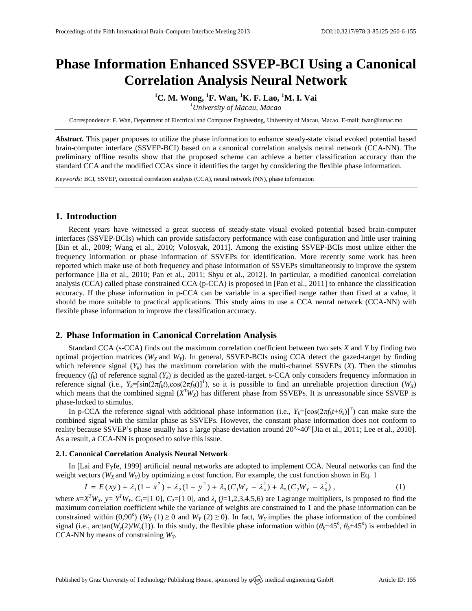# **Phase Information Enhanced SSVEP-BCI Using a Canonical Correlation Analysis Neural Network**

**<sup>1</sup>C. M. Wong, <sup>1</sup>F. Wan, <sup>1</sup>K. F. Lao, <sup>1</sup>M. I. Vai**

*<sup>1</sup>University of Macau, Macao* 

Correspondence: F. Wan, Department of Electrical and Computer Engineering, University of Macau, Macao. E-mail: fwan@umac.mo

*Abstract.* This paper proposes to utilize the phase information to enhance steady-state visual evoked potential based brain-computer interface (SSVEP-BCI) based on a canonical correlation analysis neural network (CCA-NN). The preliminary offline results show that the proposed scheme can achieve a better classification accuracy than the standard CCA and the modified CCAs since it identifies the target by considering the flexible phase information.

*Keywords:* BCI, SSVEP, canonical correlation analysis (CCA), neural network (NN), phase information

# **1. Introduction**

Recent years have witnessed a great success of steady-state visual evoked potential based brain-computer interfaces (SSVEP-BCIs) which can provide satisfactory performance with ease configuration and little user training [Bin et al., 2009; Wang et al., 2010; Volosyak, 2011]. Among the existing SSVEP-BCIs most utilize either the frequency information or phase information of SSVEPs for identification. More recently some work has been reported which make use of both frequency and phase information of SSVEPs simultaneously to improve the system performance [Jia et al., 2010; Pan et al., 2011; Shyu et al., 2012]. In particular, a modified canonical correlation analysis (CCA) called phase constrained CCA (p-CCA) is proposed in [Pan et al., 2011] to enhance the classification accuracy. If the phase information in p-CCA can be variable in a specified range rather than fixed at a value, it should be more suitable to practical applications. This study aims to use a CCA neural network (CCA-NN) with flexible phase information to improve the classification accuracy.

# **2. Phase Information in Canonical Correlation Analysis**

Standard CCA (s-CCA) finds out the maximum correlation coefficient between two sets *X* and *Y* by finding two optimal projection matrices ( $W_X$  and  $W_Y$ ). In general, SSVEP-BCIs using CCA detect the gazed-target by finding which reference signal  $(Y_k)$  has the maximum correlation with the multi-channel SSVEPs  $(X)$ . Then the stimulus frequency  $(f_k)$  of reference signal  $(Y_k)$  is decided as the gazed-target. s-CCA only considers frequency information in reference signal (i.e.,  $Y_k = [\sin(2\pi f_k t), \cos(2\pi f_k t)]^T$ ), so it is possible to find an unreliable projection direction (*W<sub>X</sub>*) which means that the combined signal  $(X^T W_X)$  has different phase from SSVEPs. It is unreasonable since SSVEP is phase-locked to stimulus.

In p-CCA the reference signal with additional phase information (i.e.,  $Y_k = [\cos(2\pi f_k t + \theta_k)]^T$ ) can make sure the combined signal with the similar phase as SSVEPs. However, the constant phase information does not conform to reality because SSVEP's phase usually has a large phase deviation around  $20^{\circ}$  ~40° [Jia et al., 2011; Lee et al., 2010]. As a result, a CCA-NN is proposed to solve this issue.

### **2.1. Canonical Correlation Analysis Neural Network**

In [Lai and Fyfe, 1999] artificial neural networks are adopted to implement CCA. Neural networks can find the ght vectors  $(W_X$  and  $W_Y$ ) by optimizing a cost function. For example, the cost function shown in Eq. 1<br>  $J = E(xy)$ weight vectors  $(W_X$  and  $W_Y$ ) by optimizing a cost function. For example, the cost function shown in Eq. 1

$$
J = E(xy) + \lambda_1(1 - x^2) + \lambda_2(1 - y^2) + \lambda_3(C_1W_y - \lambda_4^2) + \lambda_5(C_2W_y - \lambda_6^2),
$$
 (1)

where  $x = X^T W_X$ ,  $y = Y^T W_Y$ ,  $C_1 = [1 \ 0]$ ,  $C_2 = [1 \ 0]$ , and  $\lambda_j$  ( $j = 1, 2, 3, 4, 5, 6$ ) are Lagrange multipliers, is proposed to find the maximum correlation coefficient while the variance of weights are constrained to 1 and the phase information can be constrained within (0,90°) ( $W_Y$  (1)  $\geq$  0 and  $W_Y$  (2)  $\geq$  0). In fact,  $W_Y$  implies the phase information of the combined signal (i.e., arctan( $W_y(2)/W_y(1)$ ). In this study, the flexible phase information within ( $\theta_k$ −45<sup>o</sup>,  $\theta_k$ +45<sup>o</sup>) is embedded in CCA-NN by means of constraining *WY*.